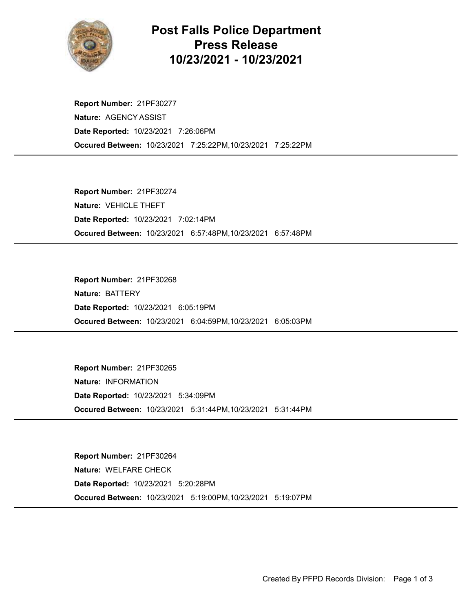

## Post Falls Police Department Press Release 10/23/2021 - 10/23/2021

Occured Between: 10/23/2021 7:25:22PM,10/23/2021 7:25:22PM Report Number: 21PF30277 Nature: AGENCY ASSIST Date Reported: 10/23/2021 7:26:06PM

Occured Between: 10/23/2021 6:57:48PM,10/23/2021 6:57:48PM Report Number: 21PF30274 Nature: VEHICLE THEFT Date Reported: 10/23/2021 7:02:14PM

Occured Between: 10/23/2021 6:04:59PM,10/23/2021 6:05:03PM Report Number: 21PF30268 Nature: BATTERY Date Reported: 10/23/2021 6:05:19PM

Occured Between: 10/23/2021 5:31:44PM,10/23/2021 5:31:44PM Report Number: 21PF30265 Nature: INFORMATION Date Reported: 10/23/2021 5:34:09PM

Occured Between: 10/23/2021 5:19:00PM,10/23/2021 5:19:07PM Report Number: 21PF30264 Nature: WELFARE CHECK Date Reported: 10/23/2021 5:20:28PM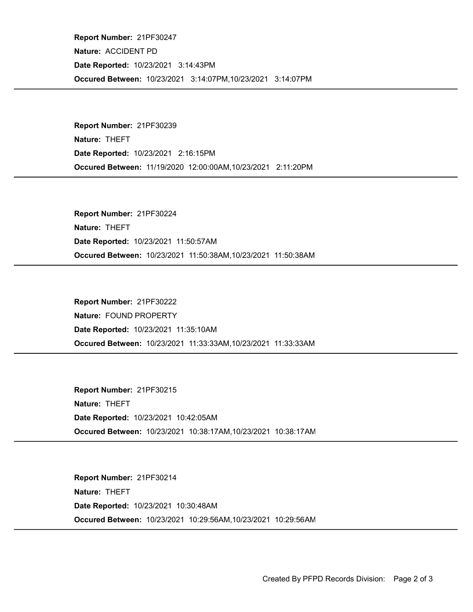Occured Between: 10/23/2021 3:14:07PM,10/23/2021 3:14:07PM Report Number: 21PF30247 Nature: ACCIDENT PD Date Reported: 10/23/2021 3:14:43PM

Occured Between: 11/19/2020 12:00:00AM,10/23/2021 2:11:20PM Report Number: 21PF30239 Nature: THEFT Date Reported: 10/23/2021 2:16:15PM

Occured Between: 10/23/2021 11:50:38AM,10/23/2021 11:50:38AM Report Number: 21PF30224 Nature: THEFT Date Reported: 10/23/2021 11:50:57AM

Occured Between: 10/23/2021 11:33:33AM,10/23/2021 11:33:33AM Report Number: 21PF30222 Nature: FOUND PROPERTY Date Reported: 10/23/2021 11:35:10AM

Occured Between: 10/23/2021 10:38:17AM,10/23/2021 10:38:17AM Report Number: 21PF30215 Nature: THEFT Date Reported: 10/23/2021 10:42:05AM

Occured Between: 10/23/2021 10:29:56AM,10/23/2021 10:29:56AM Report Number: 21PF30214 Nature: THEFT Date Reported: 10/23/2021 10:30:48AM